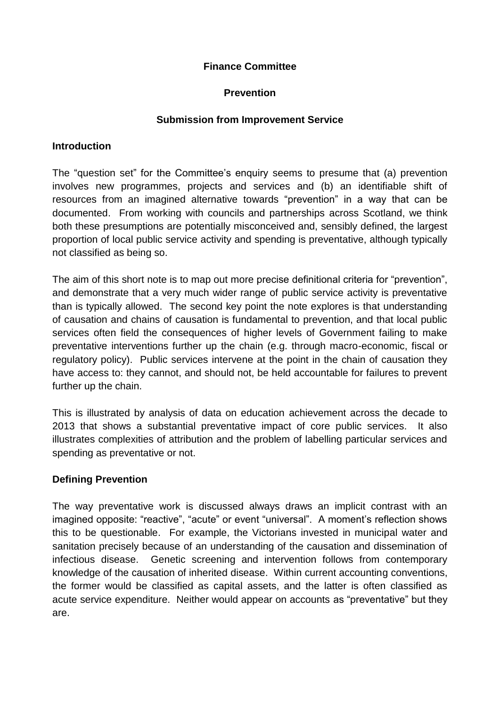# **Finance Committee**

### **Prevention**

#### **Submission from Improvement Service**

#### **Introduction**

The "question set" for the Committee's enquiry seems to presume that (a) prevention involves new programmes, projects and services and (b) an identifiable shift of resources from an imagined alternative towards "prevention" in a way that can be documented. From working with councils and partnerships across Scotland, we think both these presumptions are potentially misconceived and, sensibly defined, the largest proportion of local public service activity and spending is preventative, although typically not classified as being so.

The aim of this short note is to map out more precise definitional criteria for "prevention", and demonstrate that a very much wider range of public service activity is preventative than is typically allowed. The second key point the note explores is that understanding of causation and chains of causation is fundamental to prevention, and that local public services often field the consequences of higher levels of Government failing to make preventative interventions further up the chain (e.g. through macro-economic, fiscal or regulatory policy). Public services intervene at the point in the chain of causation they have access to: they cannot, and should not, be held accountable for failures to prevent further up the chain.

This is illustrated by analysis of data on education achievement across the decade to 2013 that shows a substantial preventative impact of core public services. It also illustrates complexities of attribution and the problem of labelling particular services and spending as preventative or not.

# **Defining Prevention**

The way preventative work is discussed always draws an implicit contrast with an imagined opposite: "reactive", "acute" or event "universal". A moment's reflection shows this to be questionable. For example, the Victorians invested in municipal water and sanitation precisely because of an understanding of the causation and dissemination of infectious disease. Genetic screening and intervention follows from contemporary knowledge of the causation of inherited disease. Within current accounting conventions, the former would be classified as capital assets, and the latter is often classified as acute service expenditure. Neither would appear on accounts as "preventative" but they are.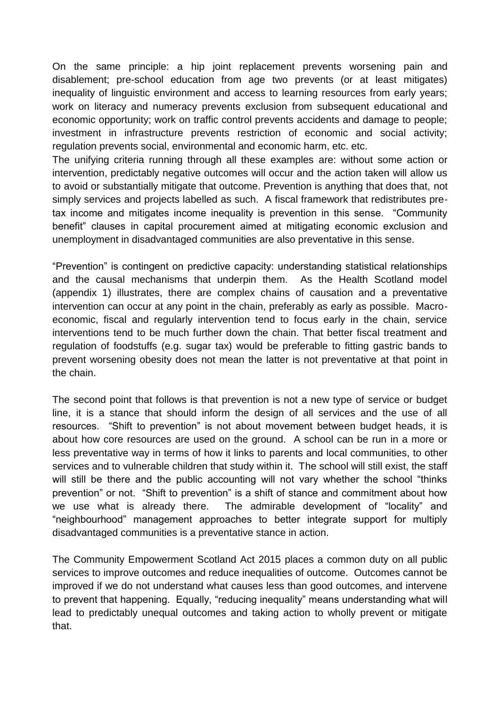On the same principle: a hip joint replacement prevents worsening pain and disablement; pre-school education from age two prevents (or at least mitigates) inequality of linguistic environment and access to learning resources from early years; work on literacy and numeracy prevents exclusion from subsequent educational and economic opportunity; work on traffic control prevents accidents and damage to people; investment in infrastructure prevents restriction of economic and social activity; regulation prevents social, environmental and economic harm, etc. etc.

The unifying criteria running through all these examples are: without some action or intervention, predictably negative outcomes will occur and the action taken will allow us to avoid or substantially mitigate that outcome. Prevention is anything that does that, not simply services and projects labelled as such. A fiscal framework that redistributes pretax income and mitigates income inequality is prevention in this sense. "Community benefit" clauses in capital procurement aimed at mitigating economic exclusion and unemployment in disadvantaged communities are also preventative in this sense.

"Prevention" is contingent on predictive capacity: understanding statistical relationships and the causal mechanisms that underpin them. As the Health Scotland model (appendix 1) illustrates, there are complex chains of causation and a preventative intervention can occur at any point in the chain, preferably as early as possible. Macroeconomic, fiscal and regularly intervention tend to focus early in the chain, service interventions tend to be much further down the chain. That better fiscal treatment and regulation of foodstuffs (e.g. sugar tax) would be preferable to fitting gastric bands to prevent worsening obesity does not mean the latter is not preventative at that point in the chain.

The second point that follows is that prevention is not a new type of service or budget line, it is a stance that should inform the design of all services and the use of all resources. "Shift to prevention" is not about movement between budget heads, it is about how core resources are used on the ground. A school can be run in a more or less preventative way in terms of how it links to parents and local communities, to other services and to vulnerable children that study within it. The school will still exist, the staff will still be there and the public accounting will not vary whether the school "thinks" prevention" or not. "Shift to prevention" is a shift of stance and commitment about how we use what is already there. The admirable development of "locality" and "neighbourhood" management approaches to better integrate support for multiply disadvantaged communities is a preventative stance in action.

The Community Empowerment Scotland Act 2015 places a common duty on all public services to improve outcomes and reduce inequalities of outcome. Outcomes cannot be improved if we do not understand what causes less than good outcomes, and intervene to prevent that happening. Equally, "reducing inequality" means understanding what will lead to predictably unequal outcomes and taking action to wholly prevent or mitigate that.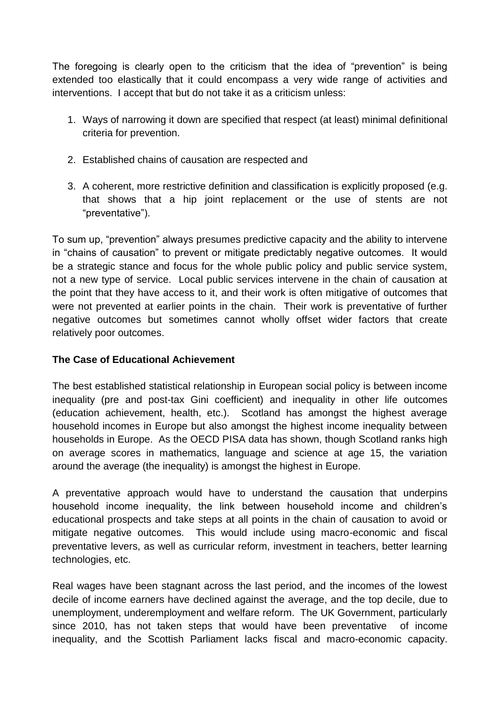The foregoing is clearly open to the criticism that the idea of "prevention" is being extended too elastically that it could encompass a very wide range of activities and interventions. I accept that but do not take it as a criticism unless:

- 1. Ways of narrowing it down are specified that respect (at least) minimal definitional criteria for prevention.
- 2. Established chains of causation are respected and
- 3. A coherent, more restrictive definition and classification is explicitly proposed (e.g. that shows that a hip joint replacement or the use of stents are not "preventative").

To sum up, "prevention" always presumes predictive capacity and the ability to intervene in "chains of causation" to prevent or mitigate predictably negative outcomes. It would be a strategic stance and focus for the whole public policy and public service system, not a new type of service. Local public services intervene in the chain of causation at the point that they have access to it, and their work is often mitigative of outcomes that were not prevented at earlier points in the chain. Their work is preventative of further negative outcomes but sometimes cannot wholly offset wider factors that create relatively poor outcomes.

# **The Case of Educational Achievement**

The best established statistical relationship in European social policy is between income inequality (pre and post-tax Gini coefficient) and inequality in other life outcomes (education achievement, health, etc.). Scotland has amongst the highest average household incomes in Europe but also amongst the highest income inequality between households in Europe. As the OECD PISA data has shown, though Scotland ranks high on average scores in mathematics, language and science at age 15, the variation around the average (the inequality) is amongst the highest in Europe.

A preventative approach would have to understand the causation that underpins household income inequality, the link between household income and children's educational prospects and take steps at all points in the chain of causation to avoid or mitigate negative outcomes. This would include using macro-economic and fiscal preventative levers, as well as curricular reform, investment in teachers, better learning technologies, etc.

Real wages have been stagnant across the last period, and the incomes of the lowest decile of income earners have declined against the average, and the top decile, due to unemployment, underemployment and welfare reform. The UK Government, particularly since 2010, has not taken steps that would have been preventative of income inequality, and the Scottish Parliament lacks fiscal and macro-economic capacity.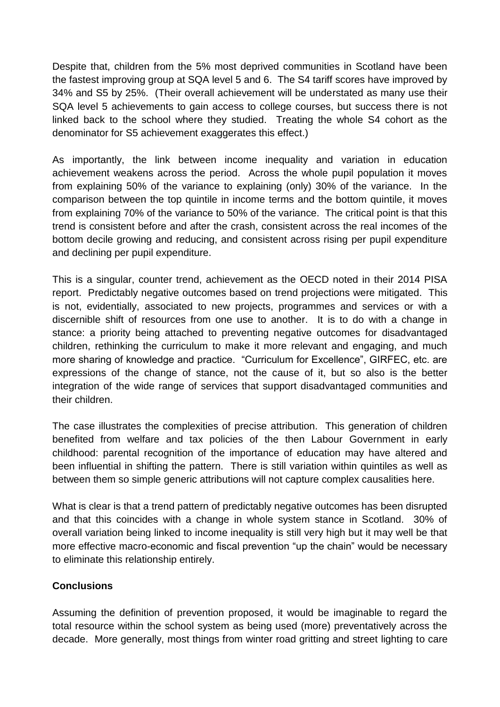Despite that, children from the 5% most deprived communities in Scotland have been the fastest improving group at SQA level 5 and 6. The S4 tariff scores have improved by 34% and S5 by 25%. (Their overall achievement will be understated as many use their SQA level 5 achievements to gain access to college courses, but success there is not linked back to the school where they studied. Treating the whole S4 cohort as the denominator for S5 achievement exaggerates this effect.)

As importantly, the link between income inequality and variation in education achievement weakens across the period. Across the whole pupil population it moves from explaining 50% of the variance to explaining (only) 30% of the variance. In the comparison between the top quintile in income terms and the bottom quintile, it moves from explaining 70% of the variance to 50% of the variance. The critical point is that this trend is consistent before and after the crash, consistent across the real incomes of the bottom decile growing and reducing, and consistent across rising per pupil expenditure and declining per pupil expenditure.

This is a singular, counter trend, achievement as the OECD noted in their 2014 PISA report. Predictably negative outcomes based on trend projections were mitigated. This is not, evidentially, associated to new projects, programmes and services or with a discernible shift of resources from one use to another. It is to do with a change in stance: a priority being attached to preventing negative outcomes for disadvantaged children, rethinking the curriculum to make it more relevant and engaging, and much more sharing of knowledge and practice. "Curriculum for Excellence", GIRFEC, etc. are expressions of the change of stance, not the cause of it, but so also is the better integration of the wide range of services that support disadvantaged communities and their children.

The case illustrates the complexities of precise attribution. This generation of children benefited from welfare and tax policies of the then Labour Government in early childhood: parental recognition of the importance of education may have altered and been influential in shifting the pattern. There is still variation within quintiles as well as between them so simple generic attributions will not capture complex causalities here.

What is clear is that a trend pattern of predictably negative outcomes has been disrupted and that this coincides with a change in whole system stance in Scotland. 30% of overall variation being linked to income inequality is still very high but it may well be that more effective macro-economic and fiscal prevention "up the chain" would be necessary to eliminate this relationship entirely.

# **Conclusions**

Assuming the definition of prevention proposed, it would be imaginable to regard the total resource within the school system as being used (more) preventatively across the decade. More generally, most things from winter road gritting and street lighting to care